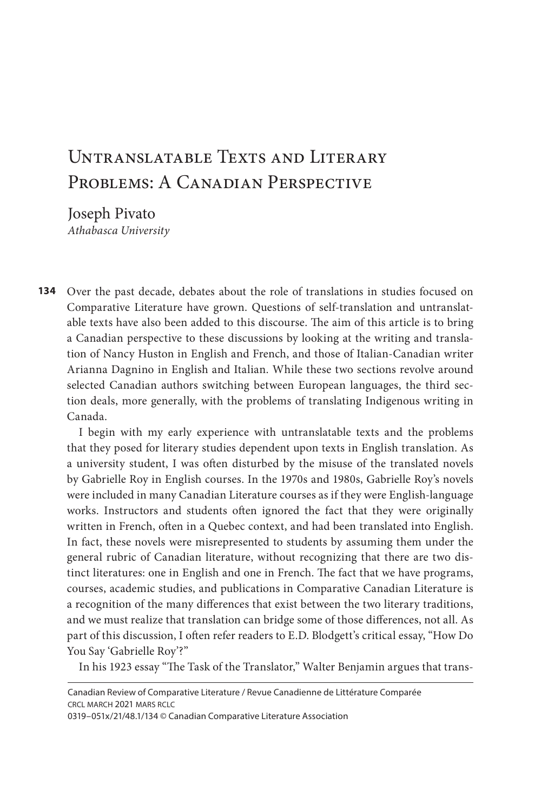# UNTRANSLATABLE TEXTS AND LITERARY PROBLEMS: A CANADIAN PERSPECTIVE

Joseph Pivato *Athabasca University* 

**134** Over the past decade, debates about the role of translations in studies focused on Comparative Literature have grown. Questions of self-translation and untranslatable texts have also been added to this discourse. The aim of this article is to bring a Canadian perspective to these discussions by looking at the writing and translation of Nancy Huston in English and French, and those of Italian-Canadian writer Arianna Dagnino in English and Italian. While these two sections revolve around selected Canadian authors switching between European languages, the third section deals, more generally, with the problems of translating Indigenous writing in Canada.

I begin with my early experience with untranslatable texts and the problems that they posed for literary studies dependent upon texts in English translation. As a university student, I was often disturbed by the misuse of the translated novels by Gabrielle Roy in English courses. In the 1970s and 1980s, Gabrielle Roy's novels were included in many Canadian Literature courses as if they were English-language works. Instructors and students often ignored the fact that they were originally written in French, often in a Quebec context, and had been translated into English. In fact, these novels were misrepresented to students by assuming them under the general rubric of Canadian literature, without recognizing that there are two distinct literatures: one in English and one in French. The fact that we have programs, courses, academic studies, and publications in Comparative Canadian Literature is a recognition of the many differences that exist between the two literary traditions, and we must realize that translation can bridge some of those differences, not all. As part of this discussion, I often refer readers to E.D. Blodgett's critical essay, "How Do You Say 'Gabrielle Roy'?"

In his 1923 essay "The Task of the Translator," Walter Benjamin argues that trans-

Canadian Review of Comparative Literature / Revue Canadienne de Littérature Comparée crcl march 2021 mars rclc

<sup>0319–051</sup>x/21/48.1/134 © Canadian Comparative Literature Association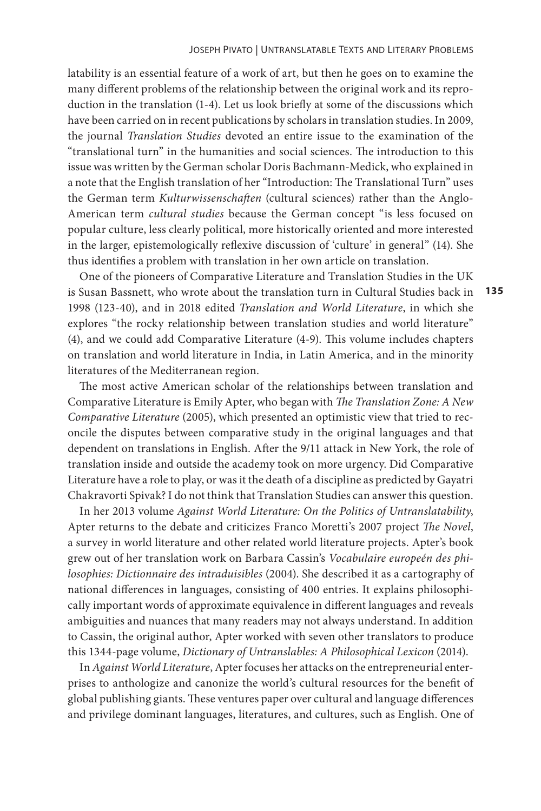latability is an essential feature of a work of art, but then he goes on to examine the many different problems of the relationship between the original work and its reproduction in the translation (1-4). Let us look briefly at some of the discussions which have been carried on in recent publications by scholars in translation studies. In 2009, the journal *Translation Studies* devoted an entire issue to the examination of the "translational turn" in the humanities and social sciences. The introduction to this issue was written by the German scholar Doris Bachmann-Medick, who explained in a note that the English translation of her "Introduction: The Translational Turn" uses the German term *Kulturwissenschaften* (cultural sciences) rather than the Anglo-American term *cultural studies* because the German concept "is less focused on popular culture, less clearly political, more historically oriented and more interested in the larger, epistemologically reflexive discussion of 'culture' in general" (14). She thus identifies a problem with translation in her own article on translation.

**135** One of the pioneers of Comparative Literature and Translation Studies in the UK is Susan Bassnett, who wrote about the translation turn in Cultural Studies back in 1998 (123-40), and in 2018 edited *Translation and World Literature*, in which she explores "the rocky relationship between translation studies and world literature" (4), and we could add Comparative Literature (4-9). This volume includes chapters on translation and world literature in India, in Latin America, and in the minority literatures of the Mediterranean region.

The most active American scholar of the relationships between translation and Comparative Literature is Emily Apter, who began with *The Translation Zone: A New Comparative Literature* (2005), which presented an optimistic view that tried to reconcile the disputes between comparative study in the original languages and that dependent on translations in English. After the 9/11 attack in New York, the role of translation inside and outside the academy took on more urgency. Did Comparative Literature have a role to play, or was it the death of a discipline as predicted by Gayatri Chakravorti Spivak? I do not think that Translation Studies can answer this question.

In her 2013 volume *Against World Literature: On the Politics of Untranslatability*, Apter returns to the debate and criticizes Franco Moretti's 2007 project *The Novel*, a survey in world literature and other related world literature projects. Apter's book grew out of her translation work on Barbara Cassin's *Vocabulaire europeén des philosophies: Dictionnaire des intraduisibles* (2004). She described it as a cartography of national differences in languages, consisting of 400 entries. It explains philosophically important words of approximate equivalence in different languages and reveals ambiguities and nuances that many readers may not always understand. In addition to Cassin, the original author, Apter worked with seven other translators to produce this 1344-page volume, *Dictionary of Untranslables: A Philosophical Lexicon* (2014).

In *Against World Literature*, Apter focuses her attacks on the entrepreneurial enterprises to anthologize and canonize the world's cultural resources for the benefit of global publishing giants. These ventures paper over cultural and language differences and privilege dominant languages, literatures, and cultures, such as English. One of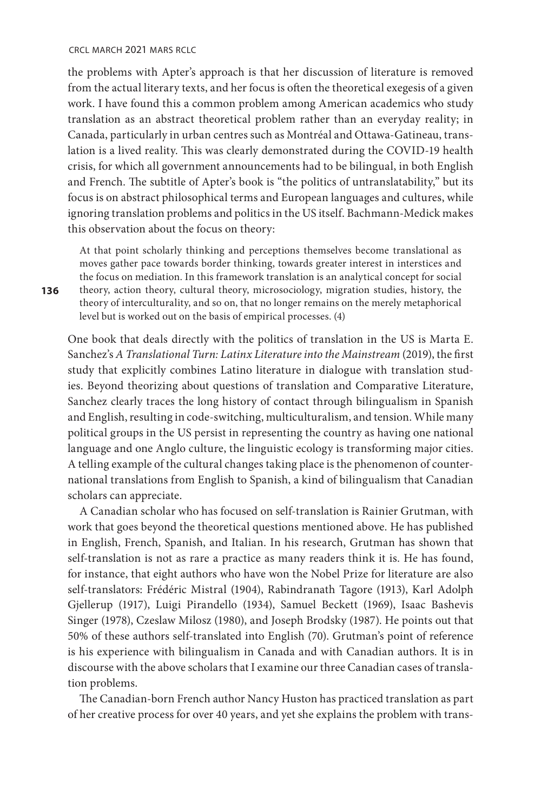the problems with Apter's approach is that her discussion of literature is removed from the actual literary texts, and her focus is often the theoretical exegesis of a given work. I have found this a common problem among American academics who study translation as an abstract theoretical problem rather than an everyday reality; in Canada, particularly in urban centres such as Montréal and Ottawa-Gatineau, translation is a lived reality. This was clearly demonstrated during the COVID-19 health crisis, for which all government announcements had to be bilingual, in both English and French. The subtitle of Apter's book is "the politics of untranslatability," but its focus is on abstract philosophical terms and European languages and cultures, while ignoring translation problems and politics in the US itself. Bachmann-Medick makes this observation about the focus on theory:

At that point scholarly thinking and perceptions themselves become translational as moves gather pace towards border thinking, towards greater interest in interstices and the focus on mediation. In this framework translation is an analytical concept for social theory, action theory, cultural theory, microsociology, migration studies, history, the theory of interculturality, and so on, that no longer remains on the merely metaphorical level but is worked out on the basis of empirical processes. (4)

One book that deals directly with the politics of translation in the US is Marta E. Sanchez's *A Translational Turn: Latinx Literature into the Mainstream* (2019), the first study that explicitly combines Latino literature in dialogue with translation studies. Beyond theorizing about questions of translation and Comparative Literature, Sanchez clearly traces the long history of contact through bilingualism in Spanish and English, resulting in code-switching, multiculturalism, and tension. While many political groups in the US persist in representing the country as having one national language and one Anglo culture, the linguistic ecology is transforming major cities. A telling example of the cultural changes taking place is the phenomenon of counternational translations from English to Spanish, a kind of bilingualism that Canadian scholars can appreciate.

A Canadian scholar who has focused on self-translation is Rainier Grutman, with work that goes beyond the theoretical questions mentioned above. He has published in English, French, Spanish, and Italian. In his research, Grutman has shown that self-translation is not as rare a practice as many readers think it is. He has found, for instance, that eight authors who have won the Nobel Prize for literature are also self-translators: Frédéric Mistral (1904), Rabindranath Tagore (1913), Karl Adolph Gjellerup (1917), Luigi Pirandello (1934), Samuel Beckett (1969), Isaac Bashevis Singer (1978), Czeslaw Milosz (1980), and Joseph Brodsky (1987). He points out that 50% of these authors self-translated into English (70). Grutman's point of reference is his experience with bilingualism in Canada and with Canadian authors. It is in discourse with the above scholars that I examine our three Canadian cases of translation problems.

The Canadian-born French author Nancy Huston has practiced translation as part of her creative process for over 40 years, and yet she explains the problem with trans-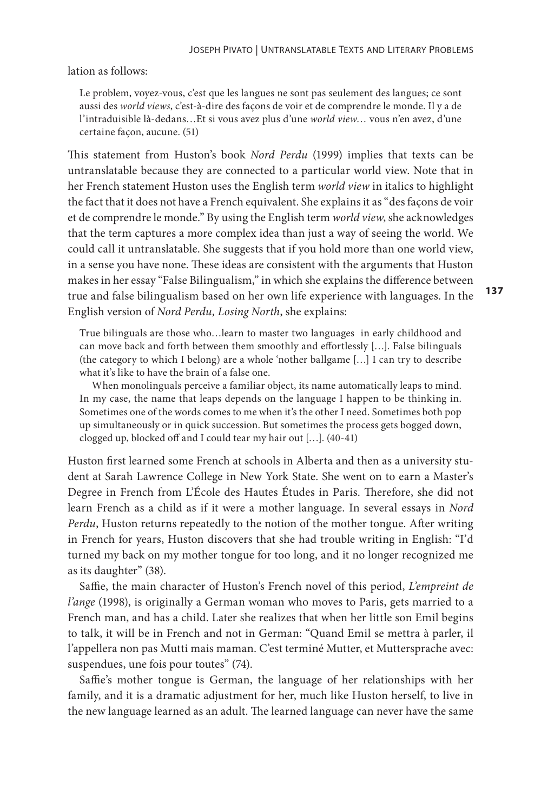lation as follows:

Le problem, voyez-vous, c'est que les langues ne sont pas seulement des langues; ce sont aussi des *world views*, c'est-à-dire des façons de voir et de comprendre le monde. Il y a de l'intraduisible là-dedans…Et si vous avez plus d'une *world view*… vous n'en avez, d'une certaine façon, aucune. (51)

This statement from Huston's book *Nord Perdu* (1999) implies that texts can be untranslatable because they are connected to a particular world view. Note that in her French statement Huston uses the English term *world view* in italics to highlight the fact that it does not have a French equivalent. She explains it as "des façons de voir et de comprendre le monde." By using the English term *world view*, she acknowledges that the term captures a more complex idea than just a way of seeing the world. We could call it untranslatable. She suggests that if you hold more than one world view, in a sense you have none. These ideas are consistent with the arguments that Huston makes in her essay "False Bilingualism," in which she explains the difference between true and false bilingualism based on her own life experience with languages. In the English version of *Nord Perdu, Losing North*, she explains:

True bilinguals are those who…learn to master two languages in early childhood and can move back and forth between them smoothly and effortlessly […]. False bilinguals (the category to which I belong) are a whole 'nother ballgame […] I can try to describe what it's like to have the brain of a false one.

 When monolinguals perceive a familiar object, its name automatically leaps to mind. In my case, the name that leaps depends on the language I happen to be thinking in. Sometimes one of the words comes to me when it's the other I need. Sometimes both pop up simultaneously or in quick succession. But sometimes the process gets bogged down, clogged up, blocked off and I could tear my hair out […]. (40-41)

Huston first learned some French at schools in Alberta and then as a university student at Sarah Lawrence College in New York State. She went on to earn a Master's Degree in French from L'École des Hautes Études in Paris. Therefore, she did not learn French as a child as if it were a mother language. In several essays in *Nord Perdu*, Huston returns repeatedly to the notion of the mother tongue. After writing in French for years, Huston discovers that she had trouble writing in English: "I'd turned my back on my mother tongue for too long, and it no longer recognized me as its daughter" (38).

Saffie, the main character of Huston's French novel of this period, *L'empreint de l'ange* (1998), is originally a German woman who moves to Paris, gets married to a French man, and has a child. Later she realizes that when her little son Emil begins to talk, it will be in French and not in German: "Quand Emil se mettra à parler, il l'appellera non pas Mutti mais maman. C'est terminé Mutter, et Muttersprache avec: suspendues, une fois pour toutes" (74).

Saffie's mother tongue is German, the language of her relationships with her family, and it is a dramatic adjustment for her, much like Huston herself, to live in the new language learned as an adult. The learned language can never have the same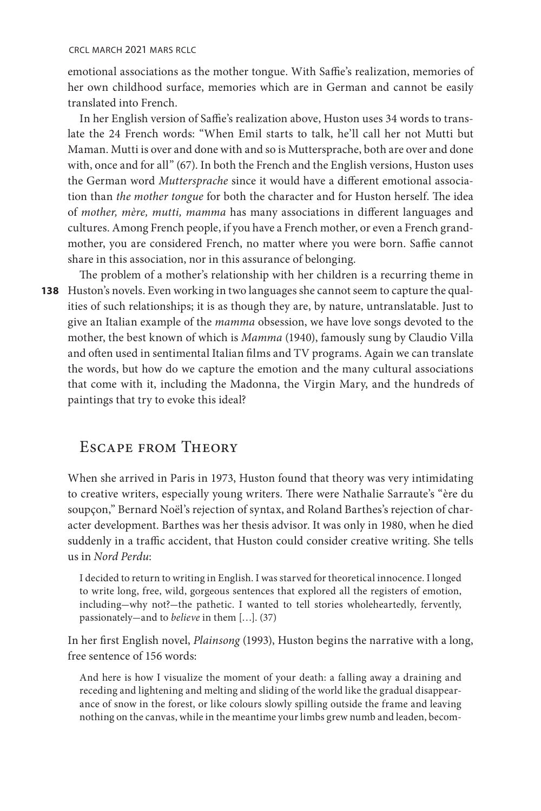emotional associations as the mother tongue. With Saffie's realization, memories of her own childhood surface, memories which are in German and cannot be easily translated into French.

In her English version of Saffie's realization above, Huston uses 34 words to translate the 24 French words: "When Emil starts to talk, he'll call her not Mutti but Maman. Mutti is over and done with and so is Muttersprache, both are over and done with, once and for all" (67). In both the French and the English versions, Huston uses the German word *Muttersprache* since it would have a different emotional association than *the mother tongue* for both the character and for Huston herself. The idea of *mother, mère, mutti, mamma* has many associations in different languages and cultures. Among French people, if you have a French mother, or even a French grandmother, you are considered French, no matter where you were born. Saffie cannot share in this association, nor in this assurance of belonging.

**138**  Huston's novels. Even working in two languages she cannot seem to capture the qual-The problem of a mother's relationship with her children is a recurring theme in ities of such relationships; it is as though they are, by nature, untranslatable. Just to give an Italian example of the *mamma* obsession, we have love songs devoted to the mother, the best known of which is *Mamma* (1940), famously sung by Claudio Villa and often used in sentimental Italian films and TV programs. Again we can translate the words, but how do we capture the emotion and the many cultural associations that come with it, including the Madonna, the Virgin Mary, and the hundreds of paintings that try to evoke this ideal?

## Escape from Theory

When she arrived in Paris in 1973, Huston found that theory was very intimidating to creative writers, especially young writers. There were Nathalie Sarraute's "ère du soupçon," Bernard Noël's rejection of syntax, and Roland Barthes's rejection of character development. Barthes was her thesis advisor. It was only in 1980, when he died suddenly in a traffic accident, that Huston could consider creative writing. She tells us in *Nord Perdu*:

I decided to return to writing in English. I was starved for theoretical innocence. I longed to write long, free, wild, gorgeous sentences that explored all the registers of emotion, including-why not?-the pathetic. I wanted to tell stories wholeheartedly, fervently, passionately-and to *believe* in them […]. (37)

In her first English novel, *Plainsong* (1993), Huston begins the narrative with a long, free sentence of 156 words:

And here is how I visualize the moment of your death: a falling away a draining and receding and lightening and melting and sliding of the world like the gradual disappearance of snow in the forest, or like colours slowly spilling outside the frame and leaving nothing on the canvas, while in the meantime your limbs grew numb and leaden, becom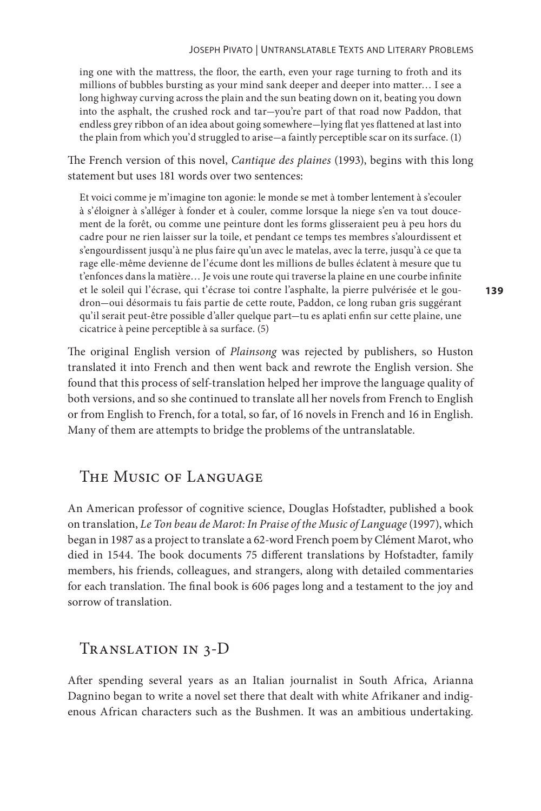ing one with the mattress, the floor, the earth, even your rage turning to froth and its millions of bubbles bursting as your mind sank deeper and deeper into matter… I see a long highway curving across the plain and the sun beating down on it, beating you down into the asphalt, the crushed rock and tar-you're part of that road now Paddon, that endless grey ribbon of an idea about going somewhere-lying flat yes flattened at last into the plain from which you'd struggled to arise-a faintly perceptible scar on its surface. (1)

The French version of this novel, *Cantique des plaines* (1993), begins with this long statement but uses 181 words over two sentences:

Et voici comme je m'imagine ton agonie: le monde se met à tomber lentement à s'ecouler à s'éloigner à s'alléger à fonder et à couler, comme lorsque la niege s'en va tout doucement de la forêt, ou comme une peinture dont les forms glisseraient peu à peu hors du cadre pour ne rien laisser sur la toile, et pendant ce temps tes membres s'alourdissent et s'engourdissent jusqu'à ne plus faire qu'un avec le matelas, avec la terre, jusqu'à ce que ta rage elle-même devienne de l'écume dont les millions de bulles éclatent à mesure que tu t'enfonces dans la matière… Je vois une route qui traverse la plaine en une courbe infinite et le soleil qui l'écrase, qui t'écrase toi contre l'asphalte, la pierre pulvérisée et le goudron-oui désormais tu fais partie de cette route, Paddon, ce long ruban gris suggérant qu'il serait peut-être possible d'aller quelque part-tu es aplati enfin sur cette plaine, une cicatrice à peine perceptible à sa surface. (5)

The original English version of *Plainsong* was rejected by publishers, so Huston translated it into French and then went back and rewrote the English version. She found that this process of self-translation helped her improve the language quality of both versions, and so she continued to translate all her novels from French to English or from English to French, for a total, so far, of 16 novels in French and 16 in English. Many of them are attempts to bridge the problems of the untranslatable.

# The Music of Language

An American professor of cognitive science, Douglas Hofstadter, published a book on translation, *Le Ton beau de Marot: In Praise of the Music of Language* (1997), which began in 1987 as a project to translate a 62-word French poem by Clément Marot, who died in 1544. The book documents 75 different translations by Hofstadter, family members, his friends, colleagues, and strangers, along with detailed commentaries for each translation. The final book is 606 pages long and a testament to the joy and sorrow of translation.

#### Translation in 3-D

After spending several years as an Italian journalist in South Africa, Arianna Dagnino began to write a novel set there that dealt with white Afrikaner and indigenous African characters such as the Bushmen. It was an ambitious undertaking.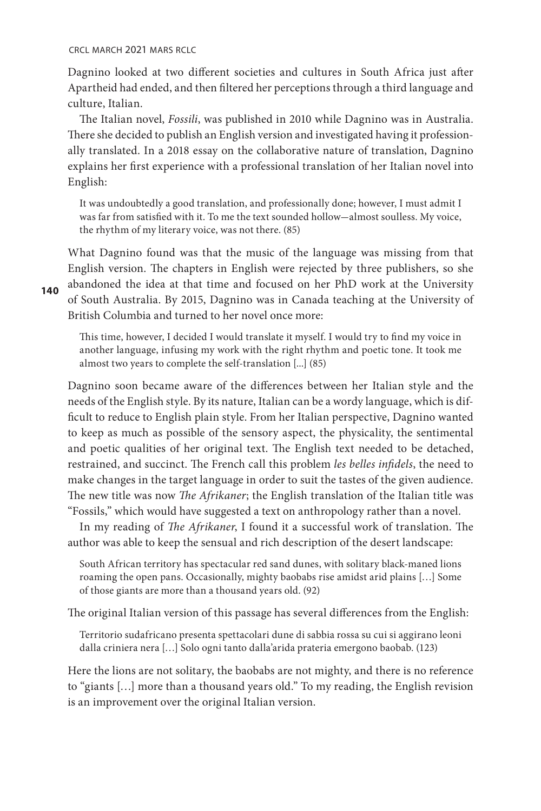crcl march 2021 mars rclc

Dagnino looked at two different societies and cultures in South Africa just after Apartheid had ended, and then filtered her perceptions through a third language and culture, Italian.

The Italian novel, *Fossili*, was published in 2010 while Dagnino was in Australia. There she decided to publish an English version and investigated having it professionally translated. In a 2018 essay on the collaborative nature of translation, Dagnino explains her first experience with a professional translation of her Italian novel into English:

It was undoubtedly a good translation, and professionally done; however, I must admit I was far from satisfied with it. To me the text sounded hollow-almost soulless. My voice, the rhythm of my literary voice, was not there. (85)

What Dagnino found was that the music of the language was missing from that English version. The chapters in English were rejected by three publishers, so she abandoned the idea at that time and focused on her PhD work at the University of South Australia. By 2015, Dagnino was in Canada teaching at the University of British Columbia and turned to her novel once more:

This time, however, I decided I would translate it myself. I would try to find my voice in another language, infusing my work with the right rhythm and poetic tone. It took me almost two years to complete the self-translation [...] (85)

Dagnino soon became aware of the differences between her Italian style and the needs of the English style. By its nature, Italian can be a wordy language, which is difficult to reduce to English plain style. From her Italian perspective, Dagnino wanted to keep as much as possible of the sensory aspect, the physicality, the sentimental and poetic qualities of her original text. The English text needed to be detached, restrained, and succinct. The French call this problem *les belles infidels*, the need to make changes in the target language in order to suit the tastes of the given audience. The new title was now *The Afrikaner*; the English translation of the Italian title was "Fossils," which would have suggested a text on anthropology rather than a novel.

In my reading of *The Afrikaner*, I found it a successful work of translation. The author was able to keep the sensual and rich description of the desert landscape:

South African territory has spectacular red sand dunes, with solitary black-maned lions roaming the open pans. Occasionally, mighty baobabs rise amidst arid plains […] Some of those giants are more than a thousand years old. (92)

The original Italian version of this passage has several differences from the English:

Territorio sudafricano presenta spettacolari dune di sabbia rossa su cui si aggirano leoni dalla criniera nera […] Solo ogni tanto dalla'arida prateria emergono baobab. (123)

Here the lions are not solitary, the baobabs are not mighty, and there is no reference to "giants […] more than a thousand years old." To my reading, the English revision is an improvement over the original Italian version.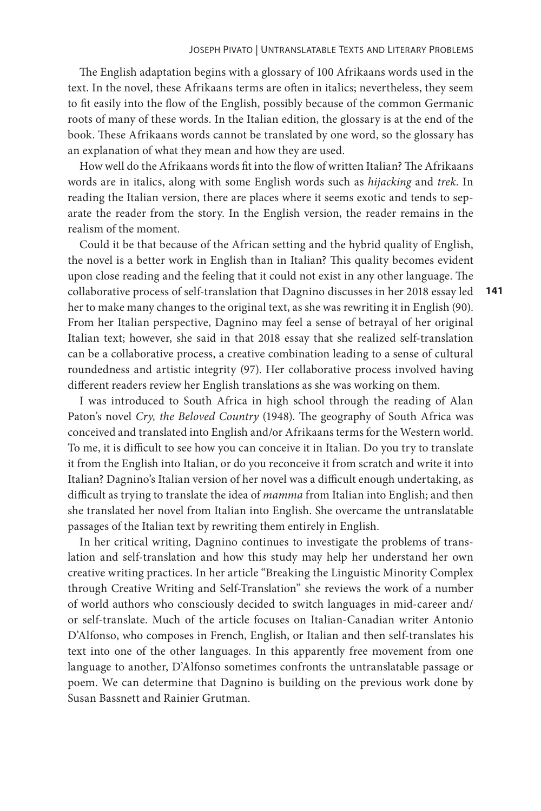The English adaptation begins with a glossary of 100 Afrikaans words used in the text. In the novel, these Afrikaans terms are often in italics; nevertheless, they seem to fit easily into the flow of the English, possibly because of the common Germanic roots of many of these words. In the Italian edition, the glossary is at the end of the book. These Afrikaans words cannot be translated by one word, so the glossary has an explanation of what they mean and how they are used.

How well do the Afrikaans words fit into the flow of written Italian? The Afrikaans words are in italics, along with some English words such as *hijacking* and *trek*. In reading the Italian version, there are places where it seems exotic and tends to separate the reader from the story. In the English version, the reader remains in the realism of the moment.

Could it be that because of the African setting and the hybrid quality of English, the novel is a better work in English than in Italian? This quality becomes evident upon close reading and the feeling that it could not exist in any other language. The collaborative process of self-translation that Dagnino discusses in her 2018 essay led her to make many changes to the original text, as she was rewriting it in English (90). From her Italian perspective, Dagnino may feel a sense of betrayal of her original Italian text; however, she said in that 2018 essay that she realized self-translation can be a collaborative process, a creative combination leading to a sense of cultural roundedness and artistic integrity (97). Her collaborative process involved having different readers review her English translations as she was working on them.

I was introduced to South Africa in high school through the reading of Alan Paton's novel *Cry, the Beloved Country* (1948). The geography of South Africa was conceived and translated into English and/or Afrikaans terms for the Western world. To me, it is difficult to see how you can conceive it in Italian. Do you try to translate it from the English into Italian, or do you reconceive it from scratch and write it into Italian? Dagnino's Italian version of her novel was a difficult enough undertaking, as difficult as trying to translate the idea of *mamma* from Italian into English; and then she translated her novel from Italian into English. She overcame the untranslatable passages of the Italian text by rewriting them entirely in English.

In her critical writing, Dagnino continues to investigate the problems of translation and self-translation and how this study may help her understand her own creative writing practices. In her article "Breaking the Linguistic Minority Complex through Creative Writing and Self-Translation" she reviews the work of a number of world authors who consciously decided to switch languages in mid-career and/ or self-translate. Much of the article focuses on Italian-Canadian writer Antonio D'Alfonso, who composes in French, English, or Italian and then self-translates his text into one of the other languages. In this apparently free movement from one language to another, D'Alfonso sometimes confronts the untranslatable passage or poem. We can determine that Dagnino is building on the previous work done by Susan Bassnett and Rainier Grutman.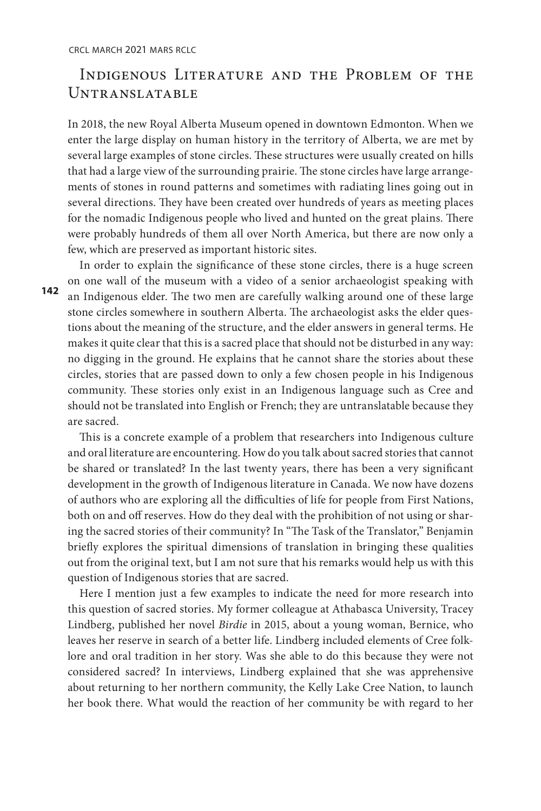# Indigenous Literature and the Problem of the Untranslatable

In 2018, the new Royal Alberta Museum opened in downtown Edmonton. When we enter the large display on human history in the territory of Alberta, we are met by several large examples of stone circles. These structures were usually created on hills that had a large view of the surrounding prairie. The stone circles have large arrangements of stones in round patterns and sometimes with radiating lines going out in several directions. They have been created over hundreds of years as meeting places for the nomadic Indigenous people who lived and hunted on the great plains. There were probably hundreds of them all over North America, but there are now only a few, which are preserved as important historic sites.

In order to explain the significance of these stone circles, there is a huge screen on one wall of the museum with a video of a senior archaeologist speaking with an Indigenous elder. The two men are carefully walking around one of these large stone circles somewhere in southern Alberta. The archaeologist asks the elder questions about the meaning of the structure, and the elder answers in general terms. He makes it quite clear that this is a sacred place that should not be disturbed in any way: no digging in the ground. He explains that he cannot share the stories about these circles, stories that are passed down to only a few chosen people in his Indigenous community. These stories only exist in an Indigenous language such as Cree and should not be translated into English or French; they are untranslatable because they are sacred.

This is a concrete example of a problem that researchers into Indigenous culture and oral literature are encountering. How do you talk about sacred stories that cannot be shared or translated? In the last twenty years, there has been a very significant development in the growth of Indigenous literature in Canada. We now have dozens of authors who are exploring all the difficulties of life for people from First Nations, both on and off reserves. How do they deal with the prohibition of not using or sharing the sacred stories of their community? In "The Task of the Translator," Benjamin briefly explores the spiritual dimensions of translation in bringing these qualities out from the original text, but I am not sure that his remarks would help us with this question of Indigenous stories that are sacred.

Here I mention just a few examples to indicate the need for more research into this question of sacred stories. My former colleague at Athabasca University, Tracey Lindberg, published her novel *Birdie* in 2015, about a young woman, Bernice, who leaves her reserve in search of a better life. Lindberg included elements of Cree folklore and oral tradition in her story. Was she able to do this because they were not considered sacred? In interviews, Lindberg explained that she was apprehensive about returning to her northern community, the Kelly Lake Cree Nation, to launch her book there. What would the reaction of her community be with regard to her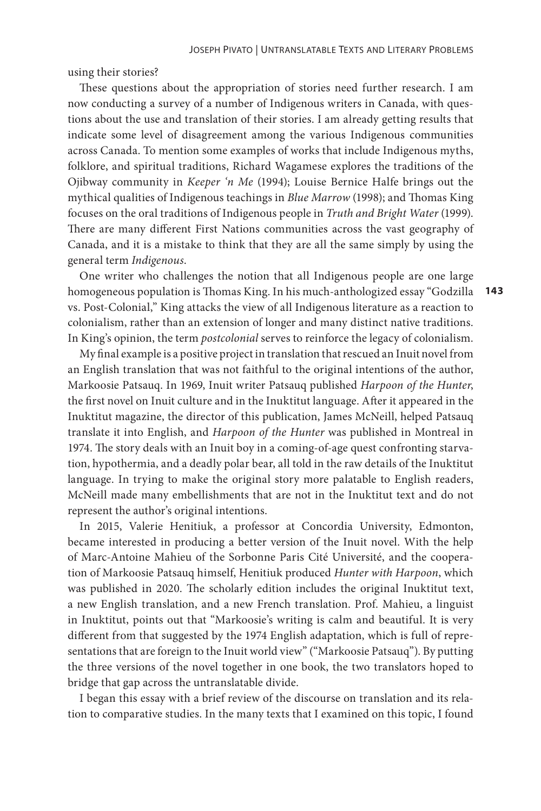using their stories?

These questions about the appropriation of stories need further research. I am now conducting a survey of a number of Indigenous writers in Canada, with questions about the use and translation of their stories. I am already getting results that indicate some level of disagreement among the various Indigenous communities across Canada. To mention some examples of works that include Indigenous myths, folklore, and spiritual traditions, Richard Wagamese explores the traditions of the Ojibway community in *Keeper 'n Me* (1994); Louise Bernice Halfe brings out the mythical qualities of Indigenous teachings in *Blue Marrow* (1998); and Thomas King focuses on the oral traditions of Indigenous people in *Truth and Bright Water* (1999). There are many different First Nations communities across the vast geography of Canada, and it is a mistake to think that they are all the same simply by using the general term *Indigenous*.

One writer who challenges the notion that all Indigenous people are one large homogeneous population is Thomas King. In his much-anthologized essay "Godzilla vs. Post-Colonial," King attacks the view of all Indigenous literature as a reaction to colonialism, rather than an extension of longer and many distinct native traditions. In King's opinion, the term *postcolonial* serves to reinforce the legacy of colonialism.

My final example is a positive project in translation that rescued an Inuit novel from an English translation that was not faithful to the original intentions of the author, Markoosie Patsauq. In 1969, Inuit writer Patsauq published *Harpoon of the Hunter*, the first novel on Inuit culture and in the Inuktitut language. After it appeared in the Inuktitut magazine, the director of this publication, James McNeill, helped Patsauq translate it into English, and *Harpoon of the Hunter* was published in Montreal in 1974. The story deals with an Inuit boy in a coming-of-age quest confronting starvation, hypothermia, and a deadly polar bear, all told in the raw details of the Inuktitut language. In trying to make the original story more palatable to English readers, McNeill made many embellishments that are not in the Inuktitut text and do not represent the author's original intentions.

In 2015, Valerie Henitiuk, a professor at Concordia University, Edmonton, became interested in producing a better version of the Inuit novel. With the help of Marc-Antoine Mahieu of the Sorbonne Paris Cité Université, and the cooperation of Markoosie Patsauq himself, Henitiuk produced *Hunter with Harpoon*, which was published in 2020. The scholarly edition includes the original Inuktitut text, a new English translation, and a new French translation. Prof. Mahieu, a linguist in Inuktitut, points out that "Markoosie's writing is calm and beautiful. It is very different from that suggested by the 1974 English adaptation, which is full of representations that are foreign to the Inuit world view" ("Markoosie Patsauq"). By putting the three versions of the novel together in one book, the two translators hoped to bridge that gap across the untranslatable divide.

I began this essay with a brief review of the discourse on translation and its relation to comparative studies. In the many texts that I examined on this topic, I found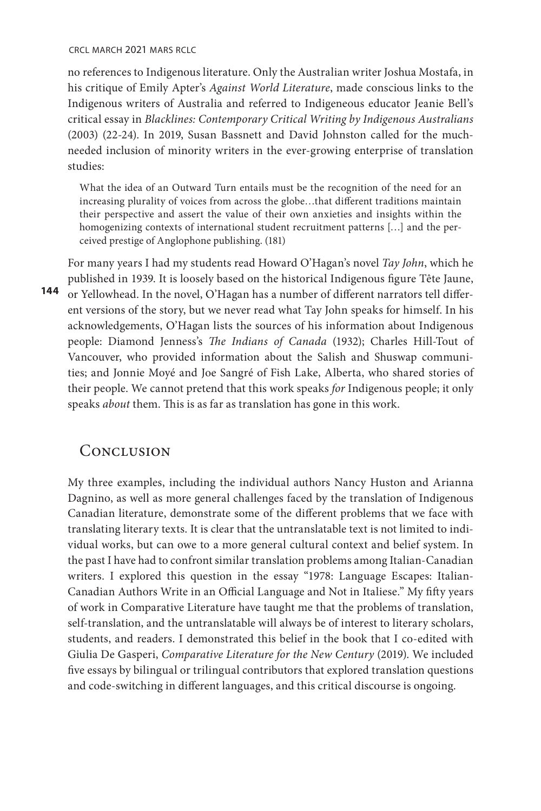crcl march 2021 mars rclc

no references to Indigenous literature. Only the Australian writer Joshua Mostafa, in his critique of Emily Apter's *Against World Literature*, made conscious links to the Indigenous writers of Australia and referred to Indigeneous educator Jeanie Bell's critical essay in *Blacklines: Contemporary Critical Writing by Indigenous Australians* (2003) (22-24). In 2019, Susan Bassnett and David Johnston called for the muchneeded inclusion of minority writers in the ever-growing enterprise of translation studies:

What the idea of an Outward Turn entails must be the recognition of the need for an increasing plurality of voices from across the globe…that different traditions maintain their perspective and assert the value of their own anxieties and insights within the homogenizing contexts of international student recruitment patterns […] and the perceived prestige of Anglophone publishing. (181)

**144**  or Yellowhead. In the novel, O'Hagan has a number of different narrators tell differ-For many years I had my students read Howard O'Hagan's novel *Tay John*, which he published in 1939. It is loosely based on the historical Indigenous figure Tête Jaune, ent versions of the story, but we never read what Tay John speaks for himself. In his acknowledgements, O'Hagan lists the sources of his information about Indigenous people: Diamond Jenness's *The Indians of Canada* (1932); Charles Hill-Tout of Vancouver, who provided information about the Salish and Shuswap communities; and Jonnie Moyé and Joe Sangré of Fish Lake, Alberta, who shared stories of their people. We cannot pretend that this work speaks *for* Indigenous people; it only speaks *about* them. This is as far as translation has gone in this work.

## Conclusion

My three examples, including the individual authors Nancy Huston and Arianna Dagnino, as well as more general challenges faced by the translation of Indigenous Canadian literature, demonstrate some of the different problems that we face with translating literary texts. It is clear that the untranslatable text is not limited to individual works, but can owe to a more general cultural context and belief system. In the past I have had to confront similar translation problems among Italian-Canadian writers. I explored this question in the essay "1978: Language Escapes: Italian-Canadian Authors Write in an Official Language and Not in Italiese." My fifty years of work in Comparative Literature have taught me that the problems of translation, self-translation, and the untranslatable will always be of interest to literary scholars, students, and readers. I demonstrated this belief in the book that I co-edited with Giulia De Gasperi, *Comparative Literature for the New Century* (2019). We included five essays by bilingual or trilingual contributors that explored translation questions and code-switching in different languages, and this critical discourse is ongoing.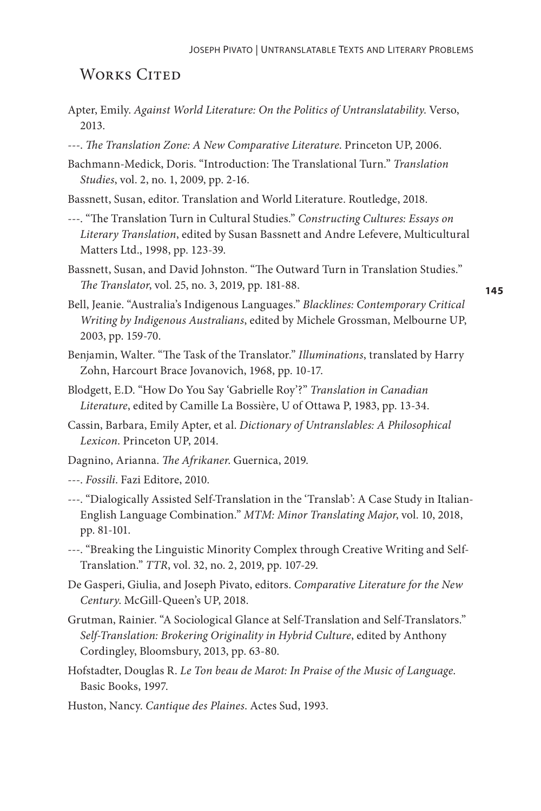## WORKS CITED

- Apter, Emily. *Against World Literature: On the Politics of Untranslatability*. Verso, 2013.
- ---. *The Translation Zone: A New Comparative Literature*. Princeton UP, 2006.
- Bachmann-Medick, Doris. "Introduction: The Translational Turn." *Translation Studies*, vol. 2, no. 1, 2009, pp. 2-16.
- Bassnett, Susan, editor. Translation and World Literature. Routledge, 2018.
- ---. "The Translation Turn in Cultural Studies." *Constructing Cultures: Essays on Literary Translation*, edited by Susan Bassnett and Andre Lefevere, Multicultural Matters Ltd., 1998, pp. 123-39.
- Bassnett, Susan, and David Johnston. "The Outward Turn in Translation Studies." *The Translator*, vol. 25, no. 3, 2019, pp. 181-88.

**145**

- Bell, Jeanie. "Australia's Indigenous Languages." *Blacklines: Contemporary Critical Writing by Indigenous Australians*, edited by Michele Grossman, Melbourne UP, 2003, pp. 159-70.
- Benjamin, Walter. "The Task of the Translator." *Illuminations*, translated by Harry Zohn, Harcourt Brace Jovanovich, 1968, pp. 10-17.
- Blodgett, E.D. "How Do You Say 'Gabrielle Roy'?" *Translation in Canadian Literature*, edited by Camille La Bossière, U of Ottawa P, 1983, pp. 13-34.
- Cassin, Barbara, Emily Apter, et al. *Dictionary of Untranslables: A Philosophical Lexicon*. Princeton UP, 2014.
- Dagnino, Arianna. *The Afrikaner*. Guernica, 2019.

---. *Fossili*. Fazi Editore, 2010.

- ---. "Dialogically Assisted Self-Translation in the 'Translab': A Case Study in Italian-English Language Combination." *MTM: Minor Translating Major*, vol. 10, 2018, pp. 81-101.
- ---. "Breaking the Linguistic Minority Complex through Creative Writing and Self-Translation." *TTR*, vol. 32, no. 2, 2019, pp. 107-29.
- De Gasperi, Giulia, and Joseph Pivato, editors. *Comparative Literature for the New Century*. McGill-Queen's UP, 2018.
- Grutman, Rainier. "A Sociological Glance at Self-Translation and Self-Translators." *Self-Translation: Brokering Originality in Hybrid Culture*, edited by Anthony Cordingley, Bloomsbury, 2013, pp. 63-80.
- Hofstadter, Douglas R. *Le Ton beau de Marot: In Praise of the Music of Language*. Basic Books, 1997.
- Huston, Nancy. *Cantique des Plaines*. Actes Sud, 1993.